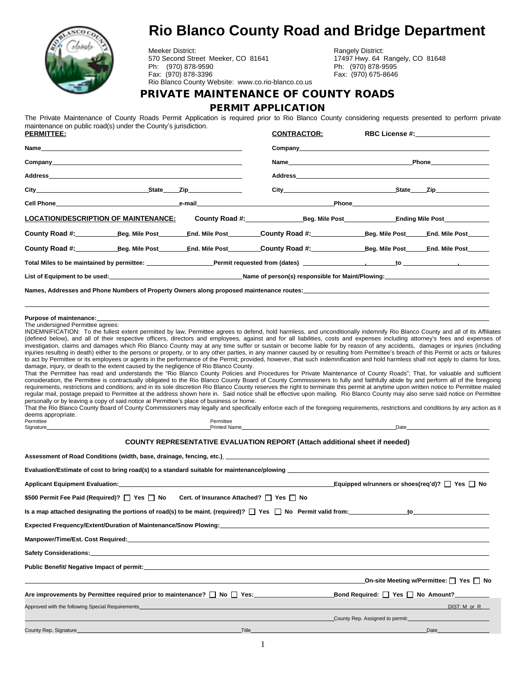

# **Rio Blanco County Road and Bridge Department**

Meeker District:<br>
570 Second Street Meeker, CO 81641 17497 Hwy. 64 Rangely, CO 81648 570 Second Street Meeker, CO 81641 17497 Hwy. 64 Rangely, 17497 Hwy. 64 Rangely, CO 81641 Ph: (970) 878-9590<br>Fax: (970) 878-3396 Rio Blanco County Website: www.co.rio-blanco.co.us

Fax: (970) 878-3396 Fax: (970) 675-8646

#### **PRIVATE MAINTENANCE OF COUNTY ROADS**

**PERMIT APPLICATION**

The Private Maintenance of County Roads Permit Application is required prior to Rio Blanco County considering requests presented to perform private maintenance on public road(s) under the County's jurisdiction.

| <u>PERMITTEE:</u>                                                                                                                                                                                                              |                                                                                                                                                                                                                                                                                                                                                                                                                     |           | <b>CONTRACTOR:</b>                                                                                                                                                                                                                                                                                                                                                                                                                                                                                                                                                                                                                                                                                                                                                                                                                                                                                                                                                                                                                                                                                                                                                                                                                                                                                                                                                                                                                                                                                                                 | <b>RBC License #:</b>           |                                                                                                                                                                                                                                |
|--------------------------------------------------------------------------------------------------------------------------------------------------------------------------------------------------------------------------------|---------------------------------------------------------------------------------------------------------------------------------------------------------------------------------------------------------------------------------------------------------------------------------------------------------------------------------------------------------------------------------------------------------------------|-----------|------------------------------------------------------------------------------------------------------------------------------------------------------------------------------------------------------------------------------------------------------------------------------------------------------------------------------------------------------------------------------------------------------------------------------------------------------------------------------------------------------------------------------------------------------------------------------------------------------------------------------------------------------------------------------------------------------------------------------------------------------------------------------------------------------------------------------------------------------------------------------------------------------------------------------------------------------------------------------------------------------------------------------------------------------------------------------------------------------------------------------------------------------------------------------------------------------------------------------------------------------------------------------------------------------------------------------------------------------------------------------------------------------------------------------------------------------------------------------------------------------------------------------------|---------------------------------|--------------------------------------------------------------------------------------------------------------------------------------------------------------------------------------------------------------------------------|
|                                                                                                                                                                                                                                |                                                                                                                                                                                                                                                                                                                                                                                                                     |           |                                                                                                                                                                                                                                                                                                                                                                                                                                                                                                                                                                                                                                                                                                                                                                                                                                                                                                                                                                                                                                                                                                                                                                                                                                                                                                                                                                                                                                                                                                                                    |                                 |                                                                                                                                                                                                                                |
| Company Company and the company of the company of the company of the company of the company of the company of the company of the company of the company of the company of the company of the company of the company of the com |                                                                                                                                                                                                                                                                                                                                                                                                                     |           |                                                                                                                                                                                                                                                                                                                                                                                                                                                                                                                                                                                                                                                                                                                                                                                                                                                                                                                                                                                                                                                                                                                                                                                                                                                                                                                                                                                                                                                                                                                                    |                                 |                                                                                                                                                                                                                                |
|                                                                                                                                                                                                                                |                                                                                                                                                                                                                                                                                                                                                                                                                     |           |                                                                                                                                                                                                                                                                                                                                                                                                                                                                                                                                                                                                                                                                                                                                                                                                                                                                                                                                                                                                                                                                                                                                                                                                                                                                                                                                                                                                                                                                                                                                    |                                 |                                                                                                                                                                                                                                |
|                                                                                                                                                                                                                                |                                                                                                                                                                                                                                                                                                                                                                                                                     |           |                                                                                                                                                                                                                                                                                                                                                                                                                                                                                                                                                                                                                                                                                                                                                                                                                                                                                                                                                                                                                                                                                                                                                                                                                                                                                                                                                                                                                                                                                                                                    |                                 |                                                                                                                                                                                                                                |
|                                                                                                                                                                                                                                |                                                                                                                                                                                                                                                                                                                                                                                                                     |           |                                                                                                                                                                                                                                                                                                                                                                                                                                                                                                                                                                                                                                                                                                                                                                                                                                                                                                                                                                                                                                                                                                                                                                                                                                                                                                                                                                                                                                                                                                                                    |                                 |                                                                                                                                                                                                                                |
| <u> LOCATION/DESCRIPTION OF MAINTENANCE:</u>                                                                                                                                                                                   |                                                                                                                                                                                                                                                                                                                                                                                                                     |           | County Road #: Fig. Mile Post Fig. Mile Post Ending Mile Post                                                                                                                                                                                                                                                                                                                                                                                                                                                                                                                                                                                                                                                                                                                                                                                                                                                                                                                                                                                                                                                                                                                                                                                                                                                                                                                                                                                                                                                                      |                                 |                                                                                                                                                                                                                                |
|                                                                                                                                                                                                                                |                                                                                                                                                                                                                                                                                                                                                                                                                     |           |                                                                                                                                                                                                                                                                                                                                                                                                                                                                                                                                                                                                                                                                                                                                                                                                                                                                                                                                                                                                                                                                                                                                                                                                                                                                                                                                                                                                                                                                                                                                    |                                 |                                                                                                                                                                                                                                |
|                                                                                                                                                                                                                                |                                                                                                                                                                                                                                                                                                                                                                                                                     |           |                                                                                                                                                                                                                                                                                                                                                                                                                                                                                                                                                                                                                                                                                                                                                                                                                                                                                                                                                                                                                                                                                                                                                                                                                                                                                                                                                                                                                                                                                                                                    |                                 |                                                                                                                                                                                                                                |
|                                                                                                                                                                                                                                |                                                                                                                                                                                                                                                                                                                                                                                                                     |           |                                                                                                                                                                                                                                                                                                                                                                                                                                                                                                                                                                                                                                                                                                                                                                                                                                                                                                                                                                                                                                                                                                                                                                                                                                                                                                                                                                                                                                                                                                                                    |                                 |                                                                                                                                                                                                                                |
|                                                                                                                                                                                                                                |                                                                                                                                                                                                                                                                                                                                                                                                                     |           |                                                                                                                                                                                                                                                                                                                                                                                                                                                                                                                                                                                                                                                                                                                                                                                                                                                                                                                                                                                                                                                                                                                                                                                                                                                                                                                                                                                                                                                                                                                                    |                                 |                                                                                                                                                                                                                                |
|                                                                                                                                                                                                                                |                                                                                                                                                                                                                                                                                                                                                                                                                     |           | Names, Addresses and Phone Numbers of Property Owners along proposed maintenance routes: Names, Addresses and Phone Numbers of Property Owners along proposed maintenance routes:                                                                                                                                                                                                                                                                                                                                                                                                                                                                                                                                                                                                                                                                                                                                                                                                                                                                                                                                                                                                                                                                                                                                                                                                                                                                                                                                                  |                                 |                                                                                                                                                                                                                                |
| deems appropriate.<br>Permittee                                                                                                                                                                                                | damage, injury, or death to the extent caused by the negligence of Rio Blanco County.<br>personally or by leaving a copy of said notice at Permittee's place of business or home.<br>Signature experience and the state of the state of the state of the state of the state of the state of the state of the state of the state of the state of the state of the state of the state of the state of the state of th | Permittee | investigation, claims and damages which Rio Blanco County may at any time suffer or sustain or become liable for by reason of any accidents, damages or injuries (including<br>injuries resulting in death) either to the persons or property, or to any other parties, in any manner caused by or resulting from Permittee's breach of this Permit or acts or failures<br>to act by Permittee or its employees or agents in the performance of the Permit; provided, however, that such indemnification and hold harmless shall not apply to claims for loss,<br>That the Permittee has read and understands the "Rio Blanco County Policies and Procedures for Private Maintenance of County Roads"; That, for valuable and sufficient<br>consideration, the Permittee is contractually obligated to the Rio Blanco County Board of County Commissioners to fully and faithfully abide by and perform all of the foregoing<br>requirements, restrictions and conditions; and in its sole discretion Rio Blanco County reserves the right to terminate this permit at anytime upon written notice to Permittee mailed<br>regular mail, postage prepaid to Permittee at the address shown here in. Said notice shall be effective upon mailing. Rio Blanco County may also serve said notice on Permittee<br>That the Rio Blanco County Board of County Commissioners may legally and specifically enforce each of the foregoing requirements, restrictions and conditions by any action as it<br>Printed Name <b>Example 2018</b> |                                 | Date and the contract of the contract of the contract of the contract of the contract of the contract of the contract of the contract of the contract of the contract of the contract of the contract of the contract of the c |
|                                                                                                                                                                                                                                |                                                                                                                                                                                                                                                                                                                                                                                                                     |           | COUNTY REPRESENTATIVE EVALUATION REPORT (Attach additional sheet if needed)                                                                                                                                                                                                                                                                                                                                                                                                                                                                                                                                                                                                                                                                                                                                                                                                                                                                                                                                                                                                                                                                                                                                                                                                                                                                                                                                                                                                                                                        |                                 |                                                                                                                                                                                                                                |
|                                                                                                                                                                                                                                |                                                                                                                                                                                                                                                                                                                                                                                                                     |           | Assessment of Road Conditions (width, base, drainage, fencing, etc.). <b>Assessment of Road Conditions (width, base, drainage, fencing, etc.)</b>                                                                                                                                                                                                                                                                                                                                                                                                                                                                                                                                                                                                                                                                                                                                                                                                                                                                                                                                                                                                                                                                                                                                                                                                                                                                                                                                                                                  |                                 |                                                                                                                                                                                                                                |
|                                                                                                                                                                                                                                |                                                                                                                                                                                                                                                                                                                                                                                                                     |           |                                                                                                                                                                                                                                                                                                                                                                                                                                                                                                                                                                                                                                                                                                                                                                                                                                                                                                                                                                                                                                                                                                                                                                                                                                                                                                                                                                                                                                                                                                                                    |                                 |                                                                                                                                                                                                                                |
|                                                                                                                                                                                                                                |                                                                                                                                                                                                                                                                                                                                                                                                                     |           |                                                                                                                                                                                                                                                                                                                                                                                                                                                                                                                                                                                                                                                                                                                                                                                                                                                                                                                                                                                                                                                                                                                                                                                                                                                                                                                                                                                                                                                                                                                                    |                                 |                                                                                                                                                                                                                                |
|                                                                                                                                                                                                                                | \$500 Permit Fee Paid (Required)?   Yes   No Cert. of Insurance Attached?   Yes   No                                                                                                                                                                                                                                                                                                                                |           |                                                                                                                                                                                                                                                                                                                                                                                                                                                                                                                                                                                                                                                                                                                                                                                                                                                                                                                                                                                                                                                                                                                                                                                                                                                                                                                                                                                                                                                                                                                                    |                                 |                                                                                                                                                                                                                                |
|                                                                                                                                                                                                                                |                                                                                                                                                                                                                                                                                                                                                                                                                     |           | Is a map attached designating the portions of road(s) to be maint. (required)? [   Yes   No Permit valid from:                                                                                                                                                                                                                                                                                                                                                                                                                                                                                                                                                                                                                                                                                                                                                                                                                                                                                                                                                                                                                                                                                                                                                                                                                                                                                                                                                                                                                     |                                 | to the contract of the contract of the contract of the contract of the contract of the contract of the contract of the contract of the contract of the contract of the contract of the contract of the contract of the contrac |
|                                                                                                                                                                                                                                |                                                                                                                                                                                                                                                                                                                                                                                                                     |           | Expected Frequency/Extent/Duration of Maintenance/Snow Plowing: Network Charles Communist Charles Charles Charles                                                                                                                                                                                                                                                                                                                                                                                                                                                                                                                                                                                                                                                                                                                                                                                                                                                                                                                                                                                                                                                                                                                                                                                                                                                                                                                                                                                                                  |                                 |                                                                                                                                                                                                                                |
|                                                                                                                                                                                                                                |                                                                                                                                                                                                                                                                                                                                                                                                                     |           |                                                                                                                                                                                                                                                                                                                                                                                                                                                                                                                                                                                                                                                                                                                                                                                                                                                                                                                                                                                                                                                                                                                                                                                                                                                                                                                                                                                                                                                                                                                                    |                                 |                                                                                                                                                                                                                                |
|                                                                                                                                                                                                                                | Safety Considerations: New York Safety Considerations of the Constantine Constanting Constanting Constanting Co                                                                                                                                                                                                                                                                                                     |           |                                                                                                                                                                                                                                                                                                                                                                                                                                                                                                                                                                                                                                                                                                                                                                                                                                                                                                                                                                                                                                                                                                                                                                                                                                                                                                                                                                                                                                                                                                                                    |                                 |                                                                                                                                                                                                                                |
|                                                                                                                                                                                                                                | Public Benefit/ Negative Impact of permit:                                                                                                                                                                                                                                                                                                                                                                          |           |                                                                                                                                                                                                                                                                                                                                                                                                                                                                                                                                                                                                                                                                                                                                                                                                                                                                                                                                                                                                                                                                                                                                                                                                                                                                                                                                                                                                                                                                                                                                    |                                 |                                                                                                                                                                                                                                |
|                                                                                                                                                                                                                                |                                                                                                                                                                                                                                                                                                                                                                                                                     |           |                                                                                                                                                                                                                                                                                                                                                                                                                                                                                                                                                                                                                                                                                                                                                                                                                                                                                                                                                                                                                                                                                                                                                                                                                                                                                                                                                                                                                                                                                                                                    |                                 | _On-site Meeting w/Permittee: ◯ Yes ◯ No                                                                                                                                                                                       |
|                                                                                                                                                                                                                                |                                                                                                                                                                                                                                                                                                                                                                                                                     |           |                                                                                                                                                                                                                                                                                                                                                                                                                                                                                                                                                                                                                                                                                                                                                                                                                                                                                                                                                                                                                                                                                                                                                                                                                                                                                                                                                                                                                                                                                                                                    |                                 |                                                                                                                                                                                                                                |
| Approved with the following Special Requirements_                                                                                                                                                                              |                                                                                                                                                                                                                                                                                                                                                                                                                     |           |                                                                                                                                                                                                                                                                                                                                                                                                                                                                                                                                                                                                                                                                                                                                                                                                                                                                                                                                                                                                                                                                                                                                                                                                                                                                                                                                                                                                                                                                                                                                    |                                 | DIST: M or R                                                                                                                                                                                                                   |
|                                                                                                                                                                                                                                |                                                                                                                                                                                                                                                                                                                                                                                                                     |           |                                                                                                                                                                                                                                                                                                                                                                                                                                                                                                                                                                                                                                                                                                                                                                                                                                                                                                                                                                                                                                                                                                                                                                                                                                                                                                                                                                                                                                                                                                                                    | County Rep. Assigned to permit: |                                                                                                                                                                                                                                |
| County Rep. Signature                                                                                                                                                                                                          |                                                                                                                                                                                                                                                                                                                                                                                                                     | $\_Title$ |                                                                                                                                                                                                                                                                                                                                                                                                                                                                                                                                                                                                                                                                                                                                                                                                                                                                                                                                                                                                                                                                                                                                                                                                                                                                                                                                                                                                                                                                                                                                    |                                 | Date                                                                                                                                                                                                                           |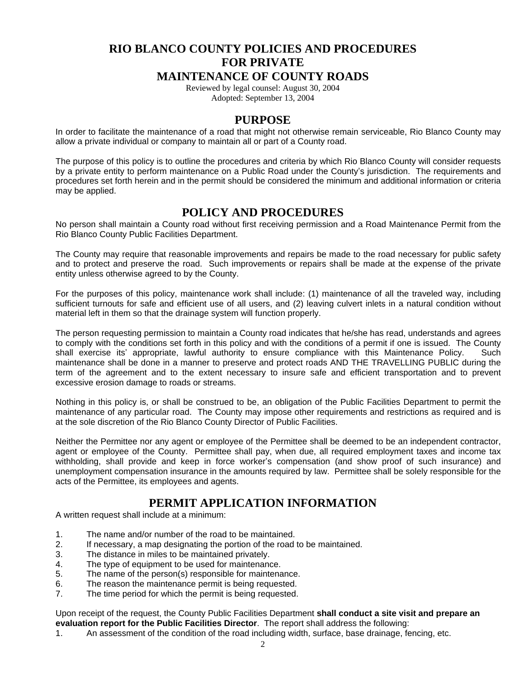# **RIO BLANCO COUNTY POLICIES AND PROCEDURES FOR PRIVATE**

#### **MAINTENANCE OF COUNTY ROADS**

Reviewed by legal counsel: August 30, 2004 Adopted: September 13, 2004

#### **PURPOSE**

In order to facilitate the maintenance of a road that might not otherwise remain serviceable, Rio Blanco County may allow a private individual or company to maintain all or part of a County road.

The purpose of this policy is to outline the procedures and criteria by which Rio Blanco County will consider requests by a private entity to perform maintenance on a Public Road under the County's jurisdiction. The requirements and procedures set forth herein and in the permit should be considered the minimum and additional information or criteria may be applied.

## **POLICY AND PROCEDURES**

No person shall maintain a County road without first receiving permission and a Road Maintenance Permit from the Rio Blanco County Public Facilities Department.

The County may require that reasonable improvements and repairs be made to the road necessary for public safety and to protect and preserve the road. Such improvements or repairs shall be made at the expense of the private entity unless otherwise agreed to by the County.

For the purposes of this policy, maintenance work shall include: (1) maintenance of all the traveled way, including sufficient turnouts for safe and efficient use of all users, and (2) leaving culvert inlets in a natural condition without material left in them so that the drainage system will function properly.

The person requesting permission to maintain a County road indicates that he/she has read, understands and agrees to comply with the conditions set forth in this policy and with the conditions of a permit if one is issued. The County shall exercise its' appropriate, lawful authority to ensure compliance with this Maintenance Policy. Such maintenance shall be done in a manner to preserve and protect roads AND THE TRAVELLING PUBLIC during the term of the agreement and to the extent necessary to insure safe and efficient transportation and to prevent excessive erosion damage to roads or streams.

Nothing in this policy is, or shall be construed to be, an obligation of the Public Facilities Department to permit the maintenance of any particular road. The County may impose other requirements and restrictions as required and is at the sole discretion of the Rio Blanco County Director of Public Facilities.

Neither the Permittee nor any agent or employee of the Permittee shall be deemed to be an independent contractor, agent or employee of the County. Permittee shall pay, when due, all required employment taxes and income tax withholding, shall provide and keep in force worker's compensation (and show proof of such insurance) and unemployment compensation insurance in the amounts required by law. Permittee shall be solely responsible for the acts of the Permittee, its employees and agents.

## **PERMIT APPLICATION INFORMATION**

A written request shall include at a minimum:

- 1. The name and/or number of the road to be maintained.
- 2. If necessary, a map designating the portion of the road to be maintained.<br>3. The distance in miles to be maintained privately.
- The distance in miles to be maintained privately.
- 4. The type of equipment to be used for maintenance.
- 5. The name of the person(s) responsible for maintenance.<br>6 The reason the maintenance permit is being requested
- The reason the maintenance permit is being requested.
- 7. The time period for which the permit is being requested.

Upon receipt of the request, the County Public Facilities Department **shall conduct a site visit and prepare an evaluation report for the Public Facilities Director**. The report shall address the following:

1. An assessment of the condition of the road including width, surface, base drainage, fencing, etc.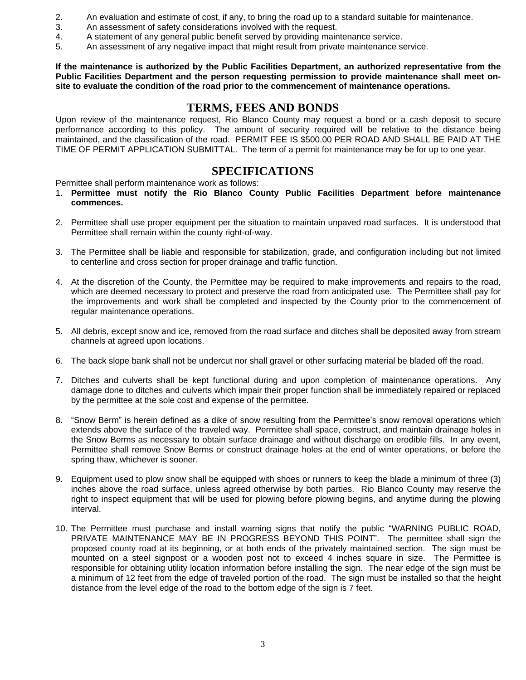- 2. An evaluation and estimate of cost, if any, to bring the road up to a standard suitable for maintenance.
- 3. An assessment of safety considerations involved with the request.
- 4. A statement of any general public benefit served by providing maintenance service.
- 5. An assessment of any negative impact that might result from private maintenance service.

**If the maintenance is authorized by the Public Facilities Department, an authorized representative from the Public Facilities Department and the person requesting permission to provide maintenance shall meet onsite to evaluate the condition of the road prior to the commencement of maintenance operations.**

## **TERMS, FEES AND BONDS**

Upon review of the maintenance request, Rio Blanco County may request a bond or a cash deposit to secure performance according to this policy. The amount of security required will be relative to the distance being maintained, and the classification of the road. PERMIT FEE IS \$500.00 PER ROAD AND SHALL BE PAID AT THE TIME OF PERMIT APPLICATION SUBMITTAL. The term of a permit for maintenance may be for up to one year.

## **SPECIFICATIONS**

Permittee shall perform maintenance work as follows:

- 1. **Permittee must notify the Rio Blanco County Public Facilities Department before maintenance commences.**
- 2. Permittee shall use proper equipment per the situation to maintain unpaved road surfaces. It is understood that Permittee shall remain within the county right-of-way.
- 3. The Permittee shall be liable and responsible for stabilization, grade, and configuration including but not limited to centerline and cross section for proper drainage and traffic function.
- 4. At the discretion of the County, the Permittee may be required to make improvements and repairs to the road, which are deemed necessary to protect and preserve the road from anticipated use. The Permittee shall pay for the improvements and work shall be completed and inspected by the County prior to the commencement of regular maintenance operations.
- 5. All debris, except snow and ice, removed from the road surface and ditches shall be deposited away from stream channels at agreed upon locations.
- 6. The back slope bank shall not be undercut nor shall gravel or other surfacing material be bladed off the road.
- 7. Ditches and culverts shall be kept functional during and upon completion of maintenance operations. Any damage done to ditches and culverts which impair their proper function shall be immediately repaired or replaced by the permittee at the sole cost and expense of the permittee.
- 8. "Snow Berm" is herein defined as a dike of snow resulting from the Permittee's snow removal operations which extends above the surface of the traveled way. Permittee shall space, construct, and maintain drainage holes in the Snow Berms as necessary to obtain surface drainage and without discharge on erodible fills. In any event, Permittee shall remove Snow Berms or construct drainage holes at the end of winter operations, or before the spring thaw, whichever is sooner.
- 9. Equipment used to plow snow shall be equipped with shoes or runners to keep the blade a minimum of three (3) inches above the road surface, unless agreed otherwise by both parties. Rio Blanco County may reserve the right to inspect equipment that will be used for plowing before plowing begins, and anytime during the plowing interval.
- 10. The Permittee must purchase and install warning signs that notify the public "WARNING PUBLIC ROAD, PRIVATE MAINTENANCE MAY BE IN PROGRESS BEYOND THIS POINT". The permittee shall sign the proposed county road at its beginning, or at both ends of the privately maintained section. The sign must be mounted on a steel signpost or a wooden post not to exceed 4 inches square in size. The Permittee is responsible for obtaining utility location information before installing the sign. The near edge of the sign must be a minimum of 12 feet from the edge of traveled portion of the road. The sign must be installed so that the height distance from the level edge of the road to the bottom edge of the sign is 7 feet.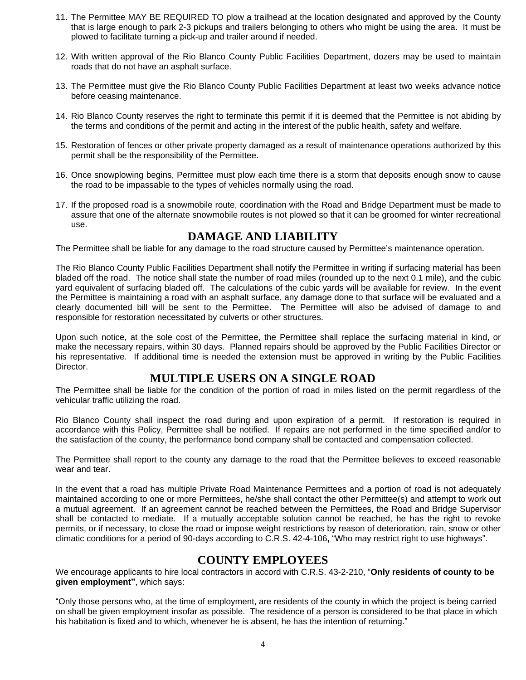- 11. The Permittee MAY BE REQUIRED TO plow a trailhead at the location designated and approved by the County that is large enough to park 2-3 pickups and trailers belonging to others who might be using the area. It must be plowed to facilitate turning a pick-up and trailer around if needed.
- 12. With written approval of the Rio Blanco County Public Facilities Department, dozers may be used to maintain roads that do not have an asphalt surface.
- 13. The Permittee must give the Rio Blanco County Public Facilities Department at least two weeks advance notice before ceasing maintenance.
- 14. Rio Blanco County reserves the right to terminate this permit if it is deemed that the Permittee is not abiding by the terms and conditions of the permit and acting in the interest of the public health, safety and welfare.
- 15. Restoration of fences or other private property damaged as a result of maintenance operations authorized by this permit shall be the responsibility of the Permittee.
- 16. Once snowplowing begins, Permittee must plow each time there is a storm that deposits enough snow to cause the road to be impassable to the types of vehicles normally using the road.
- 17. If the proposed road is a snowmobile route, coordination with the Road and Bridge Department must be made to assure that one of the alternate snowmobile routes is not plowed so that it can be groomed for winter recreational use.

## **DAMAGE AND LIABILITY**

The Permittee shall be liable for any damage to the road structure caused by Permittee's maintenance operation.

The Rio Blanco County Public Facilities Department shall notify the Permittee in writing if surfacing material has been bladed off the road. The notice shall state the number of road miles (rounded up to the next 0.1 mile), and the cubic yard equivalent of surfacing bladed off. The calculations of the cubic yards will be available for review. In the event the Permittee is maintaining a road with an asphalt surface, any damage done to that surface will be evaluated and a clearly documented bill will be sent to the Permittee. The Permittee will also be advised of damage to and responsible for restoration necessitated by culverts or other structures.

Upon such notice, at the sole cost of the Permittee, the Permittee shall replace the surfacing material in kind, or make the necessary repairs, within 30 days. Planned repairs should be approved by the Public Facilities Director or his representative. If additional time is needed the extension must be approved in writing by the Public Facilities Director.

## **MULTIPLE USERS ON A SINGLE ROAD**

The Permittee shall be liable for the condition of the portion of road in miles listed on the permit regardless of the vehicular traffic utilizing the road.

Rio Blanco County shall inspect the road during and upon expiration of a permit. If restoration is required in accordance with this Policy, Permittee shall be notified. If repairs are not performed in the time specified and/or to the satisfaction of the county, the performance bond company shall be contacted and compensation collected.

The Permittee shall report to the county any damage to the road that the Permittee believes to exceed reasonable wear and tear.

In the event that a road has multiple Private Road Maintenance Permittees and a portion of road is not adequately maintained according to one or more Permittees, he/she shall contact the other Permittee(s) and attempt to work out a mutual agreement. If an agreement cannot be reached between the Permittees, the Road and Bridge Supervisor shall be contacted to mediate. If a mutually acceptable solution cannot be reached, he has the right to revoke permits, or if necessary, to close the road or impose weight restrictions by reason of deterioration, rain, snow or other climatic conditions for a period of 90-days according to C.R.S. 42-4-106**,** "Who may restrict right to use highways".

## **COUNTY EMPLOYEES**

We encourage applicants to hire local contractors in accord with C.R.S. 43-2-210, "**Only residents of county to be given employment"**, which says:

"Only those persons who, at the time of employment, are residents of the county in which the project is being carried on shall be given employment insofar as possible. The residence of a person is considered to be that place in which his habitation is fixed and to which, whenever he is absent, he has the intention of returning."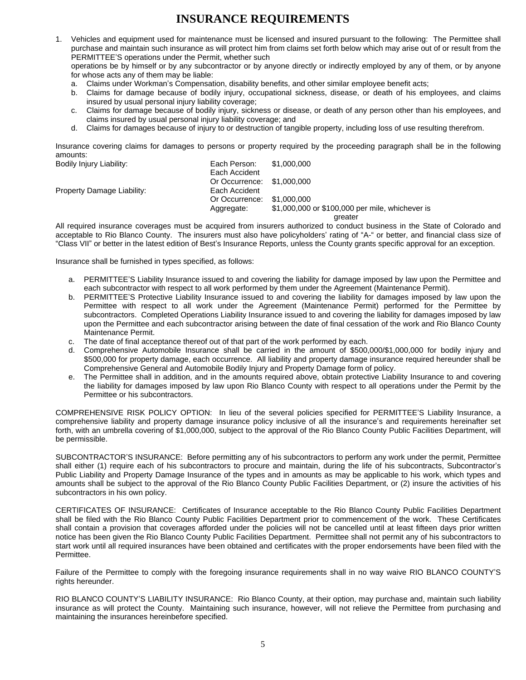# **INSURANCE REQUIREMENTS**

1. Vehicles and equipment used for maintenance must be licensed and insured pursuant to the following: The Permittee shall purchase and maintain such insurance as will protect him from claims set forth below which may arise out of or result from the PERMITTEE'S operations under the Permit, whether such

operations be by himself or by any subcontractor or by anyone directly or indirectly employed by any of them, or by anyone for whose acts any of them may be liable:

- a. Claims under Workman's Compensation, disability benefits, and other similar employee benefit acts;
- b. Claims for damage because of bodily injury, occupational sickness, disease, or death of his employees, and claims insured by usual personal injury liability coverage;
- c. Claims for damage because of bodily injury, sickness or disease, or death of any person other than his employees, and claims insured by usual personal injury liability coverage; and
- d. Claims for damages because of injury to or destruction of tangible property, including loss of use resulting therefrom.

Insurance covering claims for damages to persons or property required by the proceeding paragraph shall be in the following amounts:

| Bodily Injury Liability:   | Each Person:               | \$1,000,000                                     |
|----------------------------|----------------------------|-------------------------------------------------|
|                            | Each Accident              |                                                 |
|                            | Or Occurrence: \$1,000,000 |                                                 |
| Property Damage Liability: | Each Accident              |                                                 |
|                            | Or Occurrence:             | \$1,000,000                                     |
|                            | Aggregate:                 | \$1,000,000 or \$100,000 per mile, whichever is |
|                            |                            | greater                                         |

All required insurance coverages must be acquired from insurers authorized to conduct business in the State of Colorado and acceptable to Rio Blanco County. The insurers must also have policyholders' rating of "A-" or better, and financial class size of "Class VII" or better in the latest edition of Best's Insurance Reports, unless the County grants specific approval for an exception.

Insurance shall be furnished in types specified, as follows:

- a. PERMITTEE'S Liability Insurance issued to and covering the liability for damage imposed by law upon the Permittee and each subcontractor with respect to all work performed by them under the Agreement (Maintenance Permit).
- b. PERMITTEE'S Protective Liability Insurance issued to and covering the liability for damages imposed by law upon the Permittee with respect to all work under the Agreement (Maintenance Permit) performed for the Permittee by subcontractors. Completed Operations Liability Insurance issued to and covering the liability for damages imposed by law upon the Permittee and each subcontractor arising between the date of final cessation of the work and Rio Blanco County Maintenance Permit.
- c. The date of final acceptance thereof out of that part of the work performed by each.
- d. Comprehensive Automobile Insurance shall be carried in the amount of \$500,000/\$1,000,000 for bodily injury and \$500,000 for property damage, each occurrence. All liability and property damage insurance required hereunder shall be Comprehensive General and Automobile Bodily Injury and Property Damage form of policy.
- e. The Permittee shall in addition, and in the amounts required above, obtain protective Liability Insurance to and covering the liability for damages imposed by law upon Rio Blanco County with respect to all operations under the Permit by the Permittee or his subcontractors.

COMPREHENSIVE RISK POLICY OPTION: In lieu of the several policies specified for PERMITTEE'S Liability Insurance, a comprehensive liability and property damage insurance policy inclusive of all the insurance's and requirements hereinafter set forth, with an umbrella covering of \$1,000,000, subject to the approval of the Rio Blanco County Public Facilities Department, will be permissible.

SUBCONTRACTOR'S INSURANCE: Before permitting any of his subcontractors to perform any work under the permit, Permittee shall either (1) require each of his subcontractors to procure and maintain, during the life of his subcontracts, Subcontractor's Public Liability and Property Damage Insurance of the types and in amounts as may be applicable to his work, which types and amounts shall be subject to the approval of the Rio Blanco County Public Facilities Department, or (2) insure the activities of his subcontractors in his own policy.

CERTIFICATES OF INSURANCE: Certificates of Insurance acceptable to the Rio Blanco County Public Facilities Department shall be filed with the Rio Blanco County Public Facilities Department prior to commencement of the work. These Certificates shall contain a provision that coverages afforded under the policies will not be cancelled until at least fifteen days prior written notice has been given the Rio Blanco County Public Facilities Department. Permittee shall not permit any of his subcontractors to start work until all required insurances have been obtained and certificates with the proper endorsements have been filed with the Permittee.

Failure of the Permittee to comply with the foregoing insurance requirements shall in no way waive RIO BLANCO COUNTY'S rights hereunder.

RIO BLANCO COUNTY'S LIABILITY INSURANCE: Rio Blanco County, at their option, may purchase and, maintain such liability insurance as will protect the County. Maintaining such insurance, however, will not relieve the Permittee from purchasing and maintaining the insurances hereinbefore specified.